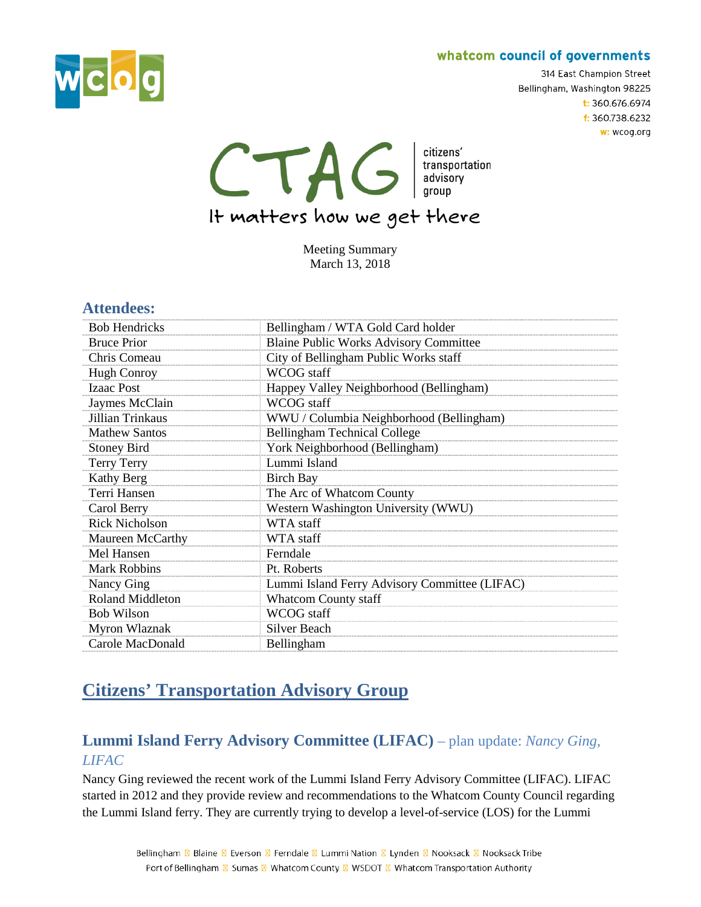

314 East Champion Street Bellingham, Washington 98225  $t: 360.676.6974$ f: 360.738.6232 w: wcog.org

CTAG dizens' transportation

It matters how we get there

Meeting Summary March 13, 2018

### **Attendees:**

| <b>Bob Hendricks</b>    | Bellingham / WTA Gold Card holder             |
|-------------------------|-----------------------------------------------|
| <b>Bruce Prior</b>      | <b>Blaine Public Works Advisory Committee</b> |
| Chris Comeau            | City of Bellingham Public Works staff         |
| <b>Hugh Conroy</b>      | WCOG staff                                    |
| <b>Izaac Post</b>       | Happey Valley Neighborhood (Bellingham)       |
| Jaymes McClain          | WCOG staff                                    |
| Jillian Trinkaus        | WWU / Columbia Neighborhood (Bellingham)      |
| <b>Mathew Santos</b>    | <b>Bellingham Technical College</b>           |
| <b>Stoney Bird</b>      | York Neighborhood (Bellingham)                |
| <b>Terry Terry</b>      | Lummi Island                                  |
| Kathy Berg              | <b>Birch Bay</b>                              |
| Terri Hansen            | The Arc of Whatcom County                     |
| Carol Berry             | Western Washington University (WWU)           |
| <b>Rick Nicholson</b>   | WTA staff                                     |
| Maureen McCarthy        | WTA staff                                     |
| Mel Hansen              | Ferndale                                      |
| <b>Mark Robbins</b>     | Pt. Roberts                                   |
| Nancy Ging              | Lummi Island Ferry Advisory Committee (LIFAC) |
| <b>Roland Middleton</b> | <b>Whatcom County staff</b>                   |
| <b>Bob Wilson</b>       | WCOG staff                                    |
| Myron Wlaznak           | <b>Silver Beach</b>                           |
| Carole MacDonald        | Bellingham                                    |

## **Citizens' Transportation Advisory Group**

## **Lummi Island Ferry Advisory Committee (LIFAC)** – plan update: *Nancy Ging, LIFAC*

Nancy Ging reviewed the recent work of the Lummi Island Ferry Advisory Committee (LIFAC). LIFAC started in 2012 and they provide review and recommendations to the Whatcom County Council regarding the Lummi Island ferry. They are currently trying to develop a level-of-service (LOS) for the Lummi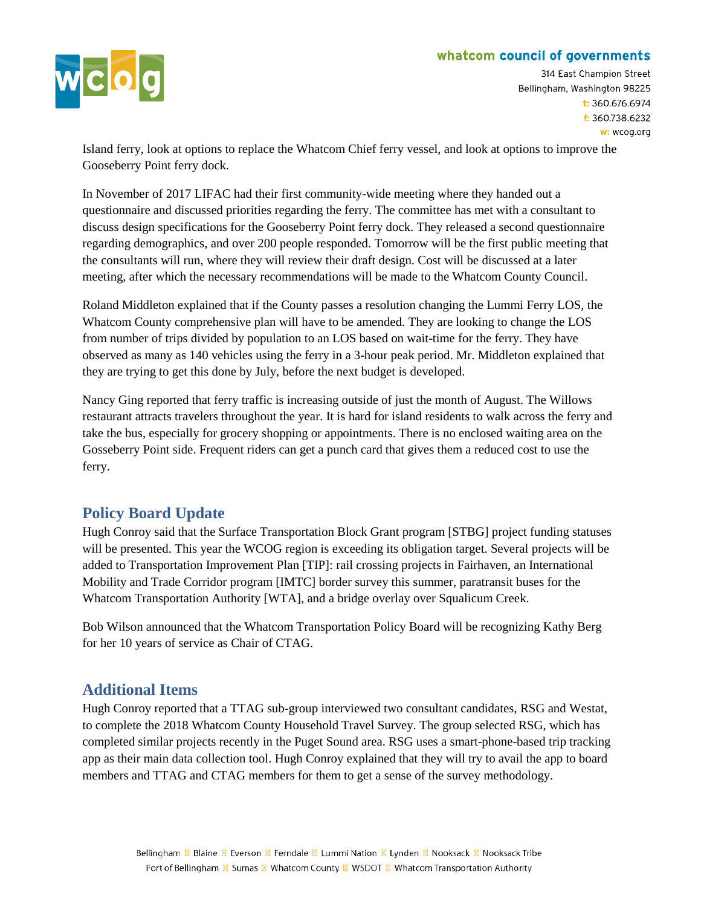

314 East Champion Street Bellingham, Washington 98225  $t: 360.676.6974$  $t: 360.738.6232$ w: wcog.org

Island ferry, look at options to replace the Whatcom Chief ferry vessel, and look at options to improve the Gooseberry Point ferry dock.

In November of 2017 LIFAC had their first community-wide meeting where they handed out a questionnaire and discussed priorities regarding the ferry. The committee has met with a consultant to discuss design specifications for the Gooseberry Point ferry dock. They released a second questionnaire regarding demographics, and over 200 people responded. Tomorrow will be the first public meeting that the consultants will run, where they will review their draft design. Cost will be discussed at a later meeting, after which the necessary recommendations will be made to the Whatcom County Council.

Roland Middleton explained that if the County passes a resolution changing the Lummi Ferry LOS, the Whatcom County comprehensive plan will have to be amended. They are looking to change the LOS from number of trips divided by population to an LOS based on wait-time for the ferry. They have observed as many as 140 vehicles using the ferry in a 3-hour peak period. Mr. Middleton explained that they are trying to get this done by July, before the next budget is developed.

Nancy Ging reported that ferry traffic is increasing outside of just the month of August. The Willows restaurant attracts travelers throughout the year. It is hard for island residents to walk across the ferry and take the bus, especially for grocery shopping or appointments. There is no enclosed waiting area on the Gosseberry Point side. Frequent riders can get a punch card that gives them a reduced cost to use the ferry.

## **Policy Board Update**

Hugh Conroy said that the Surface Transportation Block Grant program [STBG] project funding statuses will be presented. This year the WCOG region is exceeding its obligation target. Several projects will be added to Transportation Improvement Plan [TIP]: rail crossing projects in Fairhaven, an International Mobility and Trade Corridor program [IMTC] border survey this summer, paratransit buses for the Whatcom Transportation Authority [WTA], and a bridge overlay over Squalicum Creek.

Bob Wilson announced that the Whatcom Transportation Policy Board will be recognizing Kathy Berg for her 10 years of service as Chair of CTAG.

## **Additional Items**

Hugh Conroy reported that a TTAG sub-group interviewed two consultant candidates, RSG and Westat, to complete the 2018 Whatcom County Household Travel Survey. The group selected RSG, which has completed similar projects recently in the Puget Sound area. RSG uses a smart-phone-based trip tracking app as their main data collection tool. Hugh Conroy explained that they will try to avail the app to board members and TTAG and CTAG members for them to get a sense of the survey methodology.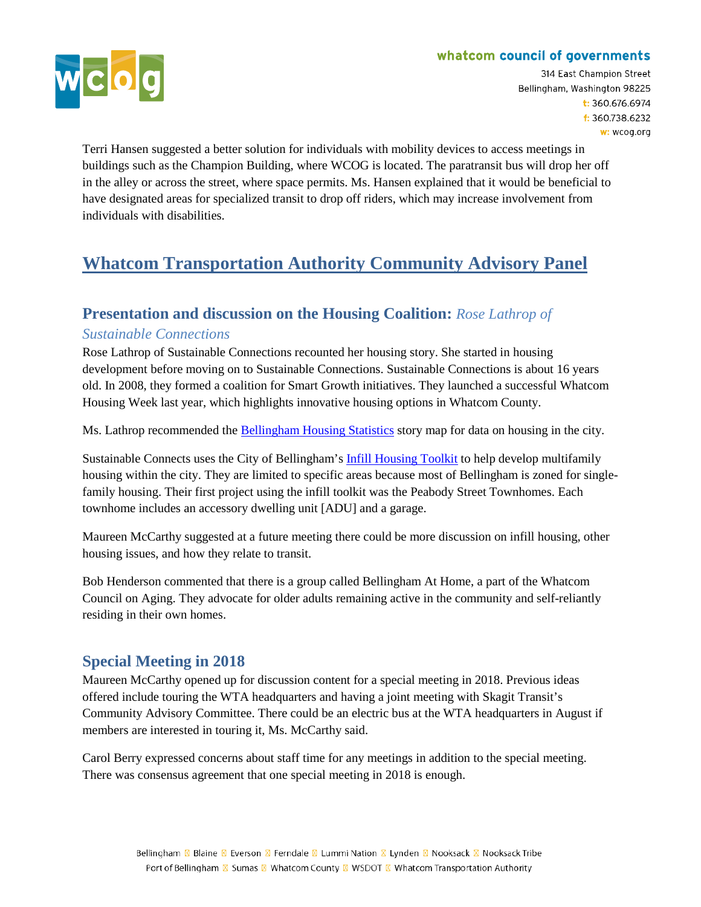

314 East Champion Street Bellingham, Washington 98225  $t: 360.676.6974$ f: 360.738.6232 w: wcog.org

Terri Hansen suggested a better solution for individuals with mobility devices to access meetings in buildings such as the Champion Building, where WCOG is located. The paratransit bus will drop her off in the alley or across the street, where space permits. Ms. Hansen explained that it would be beneficial to have designated areas for specialized transit to drop off riders, which may increase involvement from individuals with disabilities.

# **Whatcom Transportation Authority Community Advisory Panel**

## **Presentation and discussion on the Housing Coalition:** *Rose Lathrop of*

### *Sustainable Connections*

Rose Lathrop of Sustainable Connections recounted her housing story. She started in housing development before moving on to Sustainable Connections. Sustainable Connections is about 16 years old. In 2008, they formed a coalition for Smart Growth initiatives. They launched a successful Whatcom Housing Week last year, which highlights innovative housing options in Whatcom County.

Ms. Lathrop recommended the [Bellingham Housing Statistics](http://bellingham.maps.arcgis.com/apps/Cascade/index.html?appid=ad0a1daf65f94df690d06c75e2d0f9ff) story map for data on housing in the city.

Sustainable Connects uses the City of Bellingham's [Infill Housing Toolkit](https://www.cob.org/gov/dept/pcd/Pages/infill-housing-toolkit.aspx) to help develop multifamily housing within the city. They are limited to specific areas because most of Bellingham is zoned for singlefamily housing. Their first project using the infill toolkit was the Peabody Street Townhomes. Each townhome includes an accessory dwelling unit [ADU] and a garage.

Maureen McCarthy suggested at a future meeting there could be more discussion on infill housing, other housing issues, and how they relate to transit.

Bob Henderson commented that there is a group called Bellingham At Home, a part of the Whatcom Council on Aging. They advocate for older adults remaining active in the community and self-reliantly residing in their own homes.

## **Special Meeting in 2018**

Maureen McCarthy opened up for discussion content for a special meeting in 2018. Previous ideas offered include touring the WTA headquarters and having a joint meeting with Skagit Transit's Community Advisory Committee. There could be an electric bus at the WTA headquarters in August if members are interested in touring it, Ms. McCarthy said.

Carol Berry expressed concerns about staff time for any meetings in addition to the special meeting. There was consensus agreement that one special meeting in 2018 is enough.